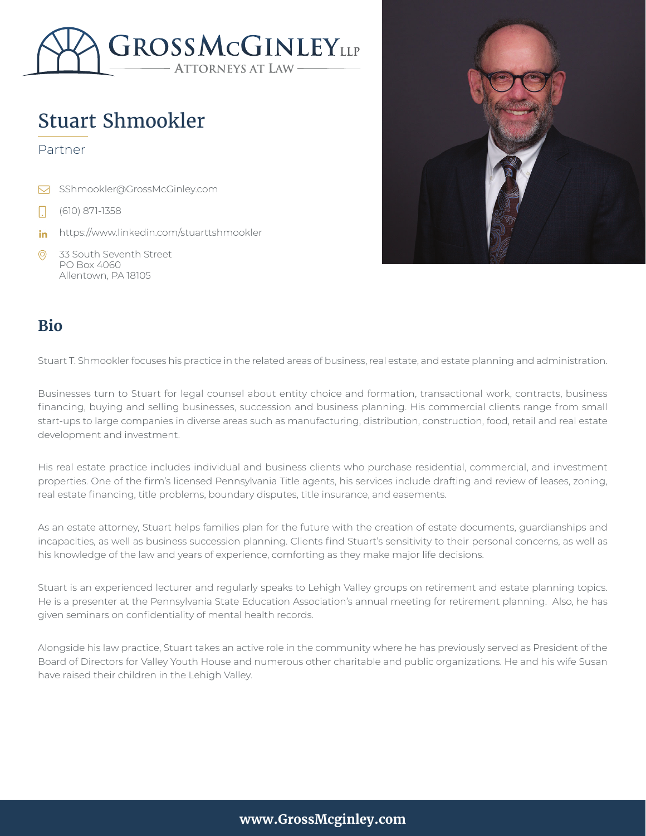

# Stuart Shmookler

#### Partner

- SShmookler@GrossMcGinley.com  $\triangleright$
- (610) 871-1358
- https://www.linkedin.com/stuarttshmookler in
- $\odot$ 33 South Seventh Street PO Box 4060 Allentown, PA 18105



#### **Bio**

Stuart T. Shmookler focuses his practice in the related areas of business, real estate, and estate planning and administration.

Businesses turn to Stuart for legal counsel about entity choice and formation, transactional work, contracts, business financing, buying and selling businesses, succession and business planning. His commercial clients range from small start-ups to large companies in diverse areas such as manufacturing, distribution, construction, food, retail and real estate development and investment.

His real estate practice includes individual and business clients who purchase residential, commercial, and investment properties. One of the firm's licensed Pennsylvania Title agents, his services include drafting and review of leases, zoning, real estate financing, title problems, boundary disputes, title insurance, and easements.

As an estate attorney, Stuart helps families plan for the future with the creation of estate documents, guardianships and incapacities, as well as business succession planning. Clients find Stuart's sensitivity to their personal concerns, as well as his knowledge of the law and years of experience, comforting as they make major life decisions.

Stuart is an experienced lecturer and regularly speaks to Lehigh Valley groups on retirement and estate planning topics. He is a presenter at the Pennsylvania State Education Association's annual meeting for retirement planning. Also, he has given seminars on confidentiality of mental health records.

Alongside his law practice, Stuart takes an active role in the community where he has previously served as President of the Board of Directors for Valley Youth House and numerous other charitable and public organizations. He and his wife Susan have raised their children in the Lehigh Valley.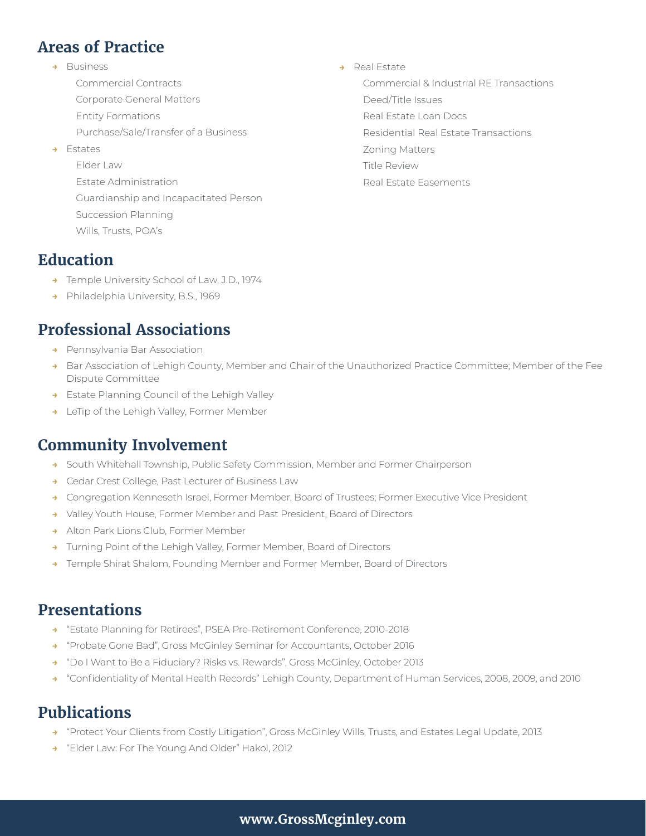# **Areas of Practice**

- **→** Business
	- Commercial Contracts
	- Corporate General Matters
	- Entity Formations
	- Purchase/Sale/Transfer of a Business
- **→** Estates
	- Elder Law Estate Administration Guardianship and Incapacitated Person Succession Planning Wills, Trusts, POA's

#### **→** Real Estate

Commercial & Industrial RE Transactions

- Deed/Title Issues Real Estate Loan Docs
- Residential Real Estate Transactions
- Zoning Matters
- Title Review
- Real Estate Easements

# **Education**

- **→** Temple University School of Law, J.D., 1974
- **→** Philadelphia University, B.S., 1969

# **Professional Associations**

- **→** Pennsylvania Bar Association
- **→** Bar Association of Lehigh County, Member and Chair of the Unauthorized Practice Committee; Member of the Fee Dispute Committee
- **→** Estate Planning Council of the Lehigh Valley
- **→** LeTip of the Lehigh Valley, Former Member

### **Community Involvement**

- **→** South Whitehall Township, Public Safety Commission, Member and Former Chairperson
- **→** Cedar Crest College, Past Lecturer of Business Law
- **→** Congregation Kenneseth Israel, Former Member, Board of Trustees; Former Executive Vice President
- **→** Valley Youth House, Former Member and Past President, Board of Directors
- **→** Alton Park Lions Club, Former Member
- **→** Turning Point of the Lehigh Valley, Former Member, Board of Directors
- **→** Temple Shirat Shalom, Founding Member and Former Member, Board of Directors

### **Presentations**

- **→** "Estate Planning for Retirees", PSEA Pre-Retirement Conference, 2010-2018
- **→** "Probate Gone Bad", Gross McGinley Seminar for Accountants, October 2016
- **→** "Do I Want to Be a Fiduciary? Risks vs. Rewards", Gross McGinley, October 2013
- **→** "Confidentiality of Mental Health Records" Lehigh County, Department of Human Services, 2008, 2009, and 2010

# **Publications**

- **→** "Protect Your Clients from Costly Litigation", Gross McGinley Wills, Trusts, and Estates Legal Update, 2013
- **→** "Elder Law: For The Young And Older" Hakol, 2012

#### **www.GrossMcginley.com**